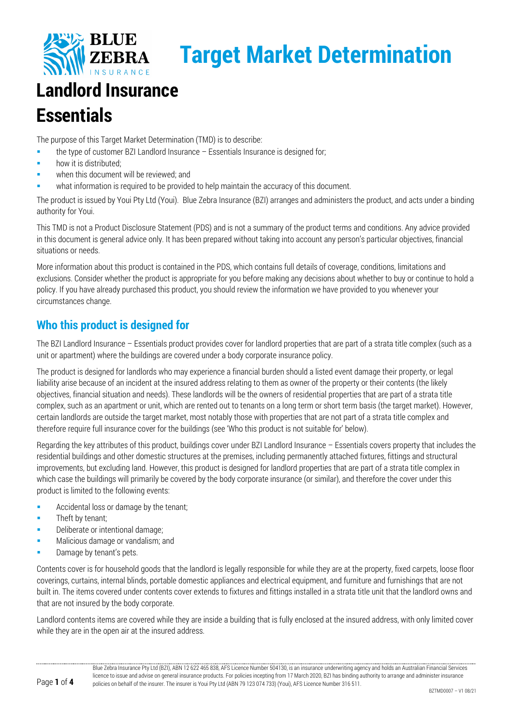

## **Landlord Insurance Essentials**

The purpose of this Target Market Determination (TMD) is to describe:

- the type of customer BZI Landlord Insurance Essentials Insurance is designed for;
- **how it is distributed;**
- when this document will be reviewed; and
- what information is required to be provided to help maintain the accuracy of this document.

The product is issued by Youi Pty Ltd (Youi). Blue Zebra Insurance (BZI) arranges and administers the product, and acts under a binding authority for Youi.

This TMD is not a Product Disclosure Statement (PDS) and is not a summary of the product terms and conditions. Any advice provided in this document is general advice only. It has been prepared without taking into account any person's particular objectives, financial situations or needs.

More information about this product is contained in the PDS, which contains full details of coverage, conditions, limitations and exclusions. Consider whether the product is appropriate for you before making any decisions about whether to buy or continue to hold a policy. If you have already purchased this product, you should review the information we have provided to you whenever your circumstances change.

## **Who this product is designed for**

The BZI Landlord Insurance – Essentials product provides cover for landlord properties that are part of a strata title complex (such as a unit or apartment) where the buildings are covered under a body corporate insurance policy.

The product is designed for landlords who may experience a financial burden should a listed event damage their property, or legal liability arise because of an incident at the insured address relating to them as owner of the property or their contents (the likely objectives, financial situation and needs). These landlords will be the owners of residential properties that are part of a strata title complex, such as an apartment or unit, which are rented out to tenants on a long term or short term basis (the target market). However, certain landlords are outside the target market, most notably those with properties that are not part of a strata title complex and therefore require full insurance cover for the buildings (see 'Who this product is not suitable for' below).

Regarding the key attributes of this product, buildings cover under BZI Landlord Insurance – Essentials covers property that includes the residential buildings and other domestic structures at the premises, including permanently attached fixtures, fittings and structural improvements, but excluding land. However, this product is designed for landlord properties that are part of a strata title complex in which case the buildings will primarily be covered by the body corporate insurance (or similar), and therefore the cover under this product is limited to the following events:

- **Accidental loss or damage by the tenant;**
- **Theft by tenant;**
- Deliberate or intentional damage;
- Malicious damage or vandalism; and
- Damage by tenant's pets.

Contents cover is for household goods that the landlord is legally responsible for while they are at the property, fixed carpets, loose floor coverings, curtains, internal blinds, portable domestic appliances and electrical equipment, and furniture and furnishings that are not built in. The items covered under contents cover extends to fixtures and fittings installed in a strata title unit that the landlord owns and that are not insured by the body corporate.

Landlord contents items are covered while they are inside a building that is fully enclosed at the insured address, with only limited cover while they are in the open air at the insured address.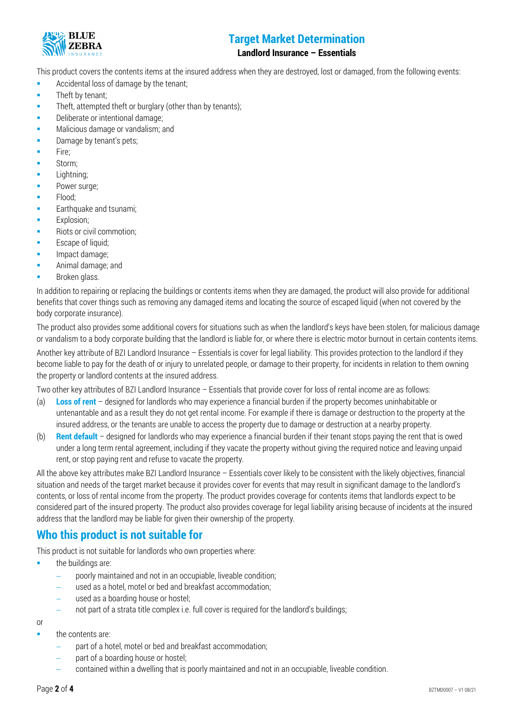

#### **Landlord Insurance – Essentials**

This product covers the contents items at the insured address when they are destroyed, lost or damaged, from the following events:

- **Accidental loss of damage by the tenant;**
- **Theft by tenant;**
- Theft, attempted theft or burglary (other than by tenants);
- Deliberate or intentional damage;
- **Malicious damage or vandalism; and**
- Damage by tenant's pets;
- $\blacksquare$  Fire;
- **Storm**;
- Lightning;
- Power surge;
- · Flood;
- **Earthquake and tsunami;**
- Explosion;
- Riots or civil commotion:
- **Escape of liquid;**
- Impact damage;
- Animal damage; and
- **Broken glass.**

In addition to repairing or replacing the buildings or contents items when they are damaged, the product will also provide for additional benefits that cover things such as removing any damaged items and locating the source of escaped liquid (when not covered by the body corporate insurance).

The product also provides some additional covers for situations such as when the landlord's keys have been stolen, for malicious damage or vandalism to a body corporate building that the landlord is liable for, or where there is electric motor burnout in certain contents items.

Another key attribute of BZI Landlord Insurance – Essentials is cover for legal liability. This provides protection to the landlord if they become liable to pay for the death of or injury to unrelated people, or damage to their property, for incidents in relation to them owning the property or landlord contents at the insured address.

Two other key attributes of BZI Landlord Insurance – Essentials that provide cover for loss of rental income are as follows:

- (a) **Loss of rent** designed for landlords who may experience a financial burden if the property becomes uninhabitable or untenantable and as a result they do not get rental income. For example if there is damage or destruction to the property at the insured address, or the tenants are unable to access the property due to damage or destruction at a nearby property.
- (b) **Rent default** designed for landlords who may experience a financial burden if their tenant stops paying the rent that is owed under a long term rental agreement, including if they vacate the property without giving the required notice and leaving unpaid rent, or stop paying rent and refuse to vacate the property.

All the above key attributes make BZI Landlord Insurance – Essentials cover likely to be consistent with the likely objectives, financial situation and needs of the target market because it provides cover for events that may result in significant damage to the landlord's contents, or loss of rental income from the property. The product provides coverage for contents items that landlords expect to be considered part of the insured property. The product also provides coverage for legal liability arising because of incidents at the insured address that the landlord may be liable for given their ownership of the property.

### **Who this product is not suitable for**

This product is not suitable for landlords who own properties where:

- $\blacksquare$  the buildings are:
	- poorly maintained and not in an occupiable, liveable condition;
	- used as a hotel, motel or bed and breakfast accommodation;
	- used as a boarding house or hostel;
	- not part of a strata title complex i.e. full cover is required for the landlord's buildings;

or

- the contents are:
	- − part of a hotel, motel or bed and breakfast accommodation;
	- part of a boarding house or hostel:
	- − contained within a dwelling that is poorly maintained and not in an occupiable, liveable condition.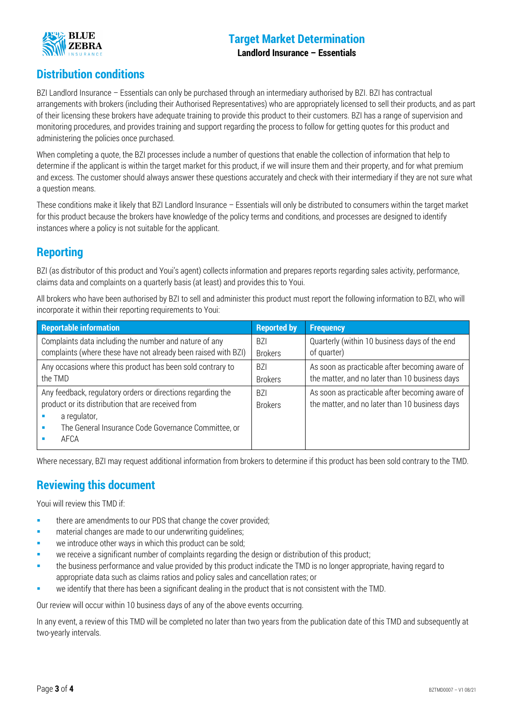

#### **Landlord Insurance – Essentials**

## **Distribution conditions**

BZI Landlord Insurance – Essentials can only be purchased through an intermediary authorised by BZI. BZI has contractual arrangements with brokers (including their Authorised Representatives) who are appropriately licensed to sell their products, and as part of their licensing these brokers have adequate training to provide this product to their customers. BZI has a range of supervision and monitoring procedures, and provides training and support regarding the process to follow for getting quotes for this product and administering the policies once purchased.

When completing a quote, the BZI processes include a number of questions that enable the collection of information that help to determine if the applicant is within the target market for this product, if we will insure them and their property, and for what premium and excess. The customer should always answer these questions accurately and check with their intermediary if they are not sure what a question means.

These conditions make it likely that BZI Landlord Insurance – Essentials will only be distributed to consumers within the target market for this product because the brokers have knowledge of the policy terms and conditions, and processes are designed to identify instances where a policy is not suitable for the applicant.

## **Reporting**

BZI (as distributor of this product and Youi's agent) collects information and prepares reports regarding sales activity, performance, claims data and complaints on a quarterly basis (at least) and provides this to Youi.

All brokers who have been authorised by BZI to sell and administer this product must report the following information to BZI, who will incorporate it within their reporting requirements to Youi:

| <b>Reportable information</b>                                  | <b>Reported by</b> | <b>Frequency</b>                               |
|----------------------------------------------------------------|--------------------|------------------------------------------------|
| Complaints data including the number and nature of any         | <b>B71</b>         | Quarterly (within 10 business days of the end  |
| complaints (where these have not already been raised with BZI) | <b>Brokers</b>     | of quarter)                                    |
| Any occasions where this product has been sold contrary to     | B <sub>7</sub>     | As soon as practicable after becoming aware of |
| the TMD                                                        | <b>Brokers</b>     | the matter, and no later than 10 business days |
| Any feedback, regulatory orders or directions regarding the    | <b>B71</b>         | As soon as practicable after becoming aware of |
| product or its distribution that are received from             | <b>Brokers</b>     | the matter, and no later than 10 business days |
| a regulator,                                                   |                    |                                                |
| The General Insurance Code Governance Committee, or            |                    |                                                |
| AFCA                                                           |                    |                                                |
|                                                                |                    |                                                |

Where necessary, BZI may request additional information from brokers to determine if this product has been sold contrary to the TMD.

## **Reviewing this document**

Youi will review this TMD if:

- **there are amendments to our PDS that change the cover provided;**
- **naterial changes are made to our underwriting quidelines;**
- **we introduce other ways in which this product can be sold;**
- we receive a significant number of complaints regarding the design or distribution of this product;
- the business performance and value provided by this product indicate the TMD is no longer appropriate, having regard to appropriate data such as claims ratios and policy sales and cancellation rates; or
- we identify that there has been a significant dealing in the product that is not consistent with the TMD.

Our review will occur within 10 business days of any of the above events occurring.

In any event, a review of this TMD will be completed no later than two years from the publication date of this TMD and subsequently at two-yearly intervals.